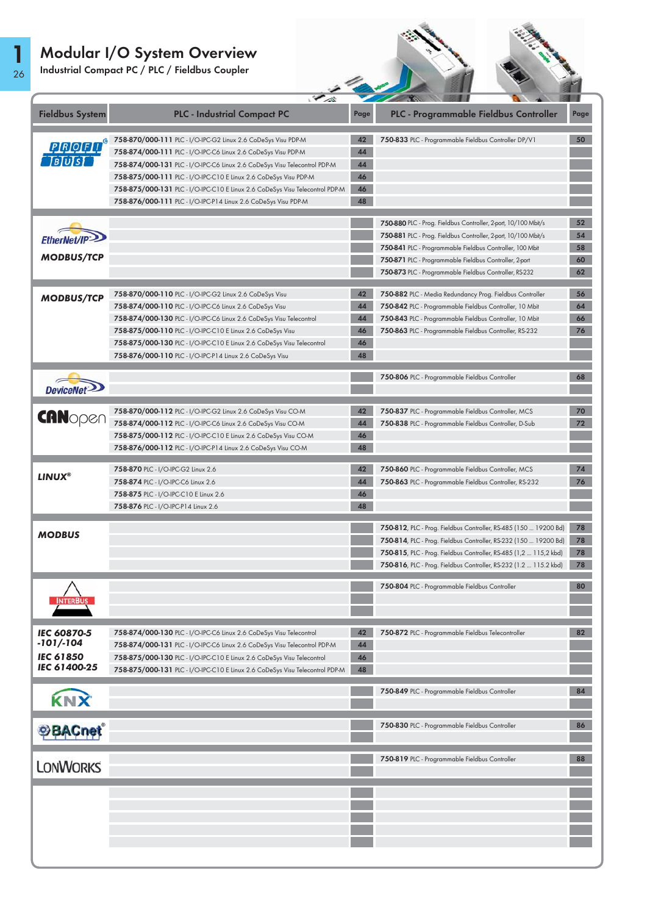Industrial Compact PC / PLC / Fieldbus Coupler

1 26



|                                   | $\mathscr{L}_{\mathscr{A}}$                                                  |      | <b>Contract State</b>                                                    |      |
|-----------------------------------|------------------------------------------------------------------------------|------|--------------------------------------------------------------------------|------|
| <b>Fieldbus System</b>            | <b>PLC - Industrial Compact PC</b>                                           | Page | PLC - Programmable Fieldbus Controller                                   | Page |
|                                   | 758-870/000-111 PLC - I/O-IPC-G2 Linux 2.6 CoDeSys Visu PDP-M                | 42   | 750-833 PLC - Programmable Fieldbus Controller DP/V1                     | 50   |
| <b>PROFIT</b> ®                   | 758-874/000-111 PLC - I/O-IPC-C6 Linux 2.6 CoDeSys Visu PDP-M                | 44   |                                                                          |      |
|                                   | 758-874/000-131 PLC - I/O-IPC-C6 Linux 2.6 CoDeSys Visu Telecontrol PDP-M    | 44   |                                                                          |      |
|                                   | 758-875/000-111 PLC - I/O-IPC-C10 E Linux 2.6 CoDeSys Visu PDP-M             | 46   |                                                                          |      |
|                                   | 758-875/000-131 PLC - I/O-IPC-C10 E Linux 2.6 CoDeSys Visu Telecontrol PDP-M | 46   |                                                                          |      |
|                                   | 758-876/000-111 PLC - I/O-IPC-P14 Linux 2.6 CoDeSys Visu PDP-M               | 48   |                                                                          |      |
|                                   |                                                                              |      | 750-880 PLC - Prog. Fieldbus Controller, 2-port, 10/100 Mbit/s           | 52   |
| <b>EtherNet/IP</b>                |                                                                              |      | 750-881 PLC - Prog. Fieldbus Controller, 2-port, 10/100 Mbit/s           | 54   |
|                                   |                                                                              |      | 750-841 PLC - Programmable Fieldbus Controller, 100 Mbit                 | 58   |
| <b>MODBUS/TCP</b>                 |                                                                              |      | 750-871 PLC - Programmable Fieldbus Controller, 2-port                   | 60   |
|                                   |                                                                              |      | 750-873 PLC - Programmable Fieldbus Controller, RS-232                   | 62   |
| <b>MODBUS/TCP</b>                 | 758-870/000-110 PLC - I/O-IPC-G2 Linux 2.6 CoDeSys Visu                      | 42   | 750-882 PLC - Media Redundancy Prog. Fieldbus Controller                 | 56   |
|                                   | 758-874/000-110 PLC - I/O-IPC-C6 Linux 2.6 CoDeSys Visu                      | 44   | 750-842 PLC - Programmable Fieldbus Controller, 10 Mbit                  | 64   |
|                                   | 758-874/000-130 PLC - I/O-IPC-C6 Linux 2.6 CoDeSys Visu Telecontrol          | 44   | 750-843 PLC - Programmable Fieldbus Controller, 10 Mbit                  | 66   |
|                                   | 758-875/000-110 PLC - I/O-IPC-C10 E Linux 2.6 CoDeSys Visu                   | 46   | 750-863 PLC - Programmable Fieldbus Controller, RS-232                   | 76   |
|                                   | 758-875/000-130 PLC - I/O-IPC-C10 E Linux 2.6 CoDeSys Visu Telecontrol       | 46   |                                                                          |      |
|                                   | 758-876/000-110 PLC - I/O-IPC-P14 Linux 2.6 CoDeSys Visu                     | 48   |                                                                          |      |
|                                   |                                                                              |      | 750-806 PLC - Programmable Fieldbus Controller                           | 68   |
| DeviceNet <sup>&gt;</sup>         |                                                                              |      |                                                                          |      |
|                                   | 758-870/000-112 PLC - I/O-IPC-G2 Linux 2.6 CoDeSys Visu CO-M                 | 42   | 750-837 PLC - Programmable Fieldbus Controller, MCS                      | 70   |
| <b>CANopen</b>                    | 758-874/000-112 PLC - I/O-IPC-C6 Linux 2.6 CoDeSys Visu CO-M                 | 44   | 750-838 PLC - Programmable Fieldbus Controller, D-Sub                    | 72   |
|                                   | 758-875/000-112 PLC - I/O-IPC-C10 E Linux 2.6 CoDeSys Visu CO-M              | 46   |                                                                          |      |
|                                   | 758-876/000-112 PLC - I/O-IPC-P14 Linux 2.6 CoDeSys Visu CO-M                | 48   |                                                                          |      |
|                                   | 758-870 PLC - I/O-IPC-G2 Linux 2.6                                           | 42   | 750-860 PLC - Programmable Fieldbus Controller, MCS                      | 74   |
| <b>LINUX<sup>®</sup></b>          | 758-874 PLC - I/O-IPC-C6 Linux 2.6                                           | 44   | 750-863 PLC - Programmable Fieldbus Controller, RS-232                   | 76   |
|                                   | 758-875 PLC - I/O-IPC-C10 E Linux 2.6                                        | 46   |                                                                          |      |
|                                   | 758-876 PLC - I/O-IPC-P14 Linux 2.6                                          | 48   |                                                                          |      |
|                                   |                                                                              |      | 750-812, PLC - Prog. Fieldbus Controller, RS-485 (150  19200 Bd)         | 78   |
| <b>MODBUS</b>                     |                                                                              |      | <b>750-814</b> , PLC - Prog. Fieldbus Controller, RS-232 (150  19200 Bd) | 78   |
|                                   |                                                                              |      | 750-815, PLC - Prog. Fieldbus Controller, RS-485 (1,2  115,2 kbd)        | 78   |
|                                   |                                                                              |      | 750-816, PLC - Prog. Fieldbus Controller, RS-232 (1.2  115.2 kbd)        | 78   |
|                                   |                                                                              |      |                                                                          |      |
|                                   |                                                                              |      | 750-804 PLC - Programmable Fieldbus Controller                           | 80   |
| <b>INTERBUS</b>                   |                                                                              |      |                                                                          |      |
|                                   |                                                                              |      |                                                                          |      |
| <b>IEC 60870-5</b><br>$-101/-104$ | 758-874/000-130 PLC - I/O-IPC-C6 Linux 2.6 CoDeSys Visu Telecontrol          | 42   | 750-872 PLC - Programmable Fieldbus Telecontroller                       | 82   |
| <b>IEC 61850</b>                  | 758-874/000-131 PLC - I/O-IPC-C6 Linux 2.6 CoDeSys Visu Telecontrol PDP-M    | 44   |                                                                          |      |
| IEC 61400-25                      | 758-875/000-130 PLC - I/O-IPC-C10 E Linux 2.6 CoDeSys Visu Telecontrol       | 46   |                                                                          |      |
|                                   | 758-875/000-131 PLC - I/O-IPC-C10 E Linux 2.6 CoDeSys Visu Telecontrol PDP-M | 48   |                                                                          |      |
| KNX                               |                                                                              |      | 750-849 PLC - Programmable Fieldbus Controller                           | 84   |
|                                   |                                                                              |      |                                                                          |      |
| <b>OBACnet</b>                    |                                                                              |      | 750-830 PLC - Programmable Fieldbus Controller                           | 86   |
|                                   |                                                                              |      |                                                                          |      |
| <b>LONWORKS</b>                   |                                                                              |      | 750-819 PLC - Programmable Fieldbus Controller                           | 88   |
|                                   |                                                                              |      |                                                                          |      |
|                                   |                                                                              |      |                                                                          |      |
|                                   |                                                                              |      |                                                                          |      |
|                                   |                                                                              |      |                                                                          |      |
|                                   |                                                                              |      |                                                                          |      |
|                                   |                                                                              |      |                                                                          |      |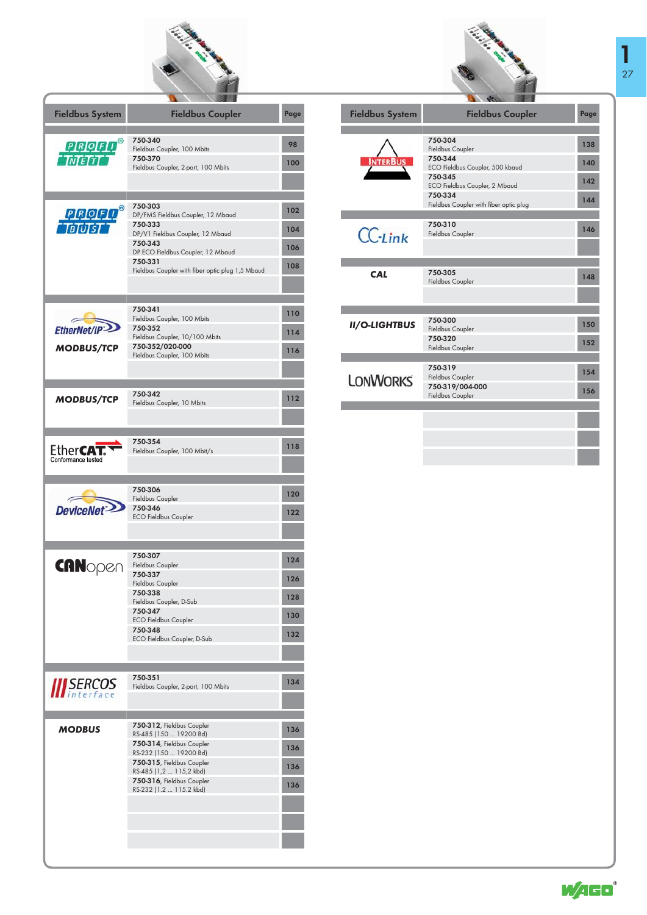

| <b>Fieldbus System</b>            | <b>Fieldbus Coupler</b>                              | Page |
|-----------------------------------|------------------------------------------------------|------|
|                                   | 750-340                                              |      |
| PROFI                             | Fieldbus Coupler, 100 Mbits                          | 98   |
| <b>TNTETTT</b>                    | 750-370                                              | 100  |
|                                   | Fieldbus Coupler, 2-port, 100 Mbits                  |      |
|                                   |                                                      |      |
|                                   | 750-303                                              | 102  |
| <b>PROFIT</b> ®<br><b>TBTUTST</b> | DP/FMS Fieldbus Coupler, 12 Mbaud<br>750-333         | 104  |
|                                   | DP/V1 Fieldbus Coupler, 12 Mbaud<br>750-343          | 106  |
|                                   | DP ECO Fieldbus Coupler, 12 Mbaud<br>750-331         | 108  |
|                                   | Fieldbus Coupler with fiber optic plug 1,5 Mbaud     |      |
|                                   |                                                      |      |
|                                   | 750-341                                              | 110  |
| <b>EtherNet/IP</b>                | Fieldbus Coupler, 100 Mbits<br>750-352               |      |
|                                   | Fieldbus Coupler, 10/100 Mbits                       | 114  |
| <b>MODBUS/TCP</b>                 | 750-352/020-000<br>Fieldbus Coupler, 100 Mbits       | 116  |
|                                   |                                                      |      |
|                                   |                                                      |      |
| <b>MODBUS/TCP</b>                 | 750-342                                              | 112  |
|                                   | Fieldbus Coupler, 10 Mbits                           |      |
|                                   |                                                      |      |
|                                   | 750-354                                              |      |
| Ether <b>CAT</b>                  | Fieldbus Coupler, 100 Mbit/s                         | 118  |
| Conformance tested                |                                                      |      |
|                                   |                                                      |      |
|                                   | 750-306<br>Fieldbus Coupler                          | 120  |
| <b>DeviceNet</b>                  | 750-346<br><b>ECO Fieldbus Coupler</b>               | 122  |
|                                   |                                                      |      |
|                                   |                                                      |      |
|                                   | 750-307                                              | 124  |
| <b>CAN</b> open                   | Fieldbus Coupler<br>750-337                          |      |
|                                   | Fieldbus Coupler                                     | 126  |
|                                   | 750-338<br>Fieldbus Coupler, D-Sub                   | 128  |
|                                   | 750-347<br><b>ECO Fieldbus Coupler</b>               | 130  |
|                                   | 750-348                                              | 132  |
|                                   | ECO Fieldbus Coupler, D-Sub                          |      |
|                                   |                                                      |      |
|                                   | 750-351                                              | 134  |
| <i><b>III</b> SERCOS</i>          | Fieldbus Coupler, 2-port, 100 Mbits                  |      |
|                                   |                                                      |      |
| <b>MODBUS</b>                     | 750-312, Fieldbus Coupler                            | 136  |
|                                   | RS-485 (150  19200 Bd)<br>750-314, Fieldbus Coupler  | 136  |
|                                   | RS-232 (150  19200 Bd)<br>750-315, Fieldbus Coupler  |      |
|                                   | RS-485 (1,2  115,2 kbd)<br>750-316, Fieldbus Coupler | 136  |
|                                   | RS-232 (1.2  115.2 kbd)                              | 136  |
|                                   |                                                      |      |
|                                   |                                                      |      |
|                                   |                                                      |      |
|                                   |                                                      |      |



| <b>Fieldbus System</b> | <b>Fieldbus Coupler</b>                           | Page |
|------------------------|---------------------------------------------------|------|
|                        |                                                   |      |
|                        | 750-304<br>Fieldbus Coupler                       | 138  |
|                        | 750-344<br>ECO Fieldbus Coupler, 500 kbaud        | 140  |
|                        | 750-345<br>ECO Fieldbus Coupler, 2 Mbaud          | 142  |
|                        | 750-334<br>Fieldbus Coupler with fiber optic plug | 144  |
|                        |                                                   |      |
| $CC$ -Link             | 750-310<br>Fieldbus Coupler                       | 146  |
|                        |                                                   |      |
|                        |                                                   |      |
| <b>CAL</b>             | 750-305<br><b>Fieldbus Coupler</b>                | 148  |
|                        |                                                   |      |
|                        |                                                   |      |
| <b>II/O-LIGHTBUS</b>   | 750-300<br>Fieldbus Coupler                       | 150  |
|                        | 750-320<br>Fieldbus Coupler                       | 152  |
|                        |                                                   |      |
| <b>LONWORKS</b>        | 750-319<br>Fieldbus Coupler                       | 154  |
|                        | 750-319/004-000<br>Fieldbus Coupler               | 156  |
|                        |                                                   |      |
|                        |                                                   |      |
|                        |                                                   |      |



٠ a.

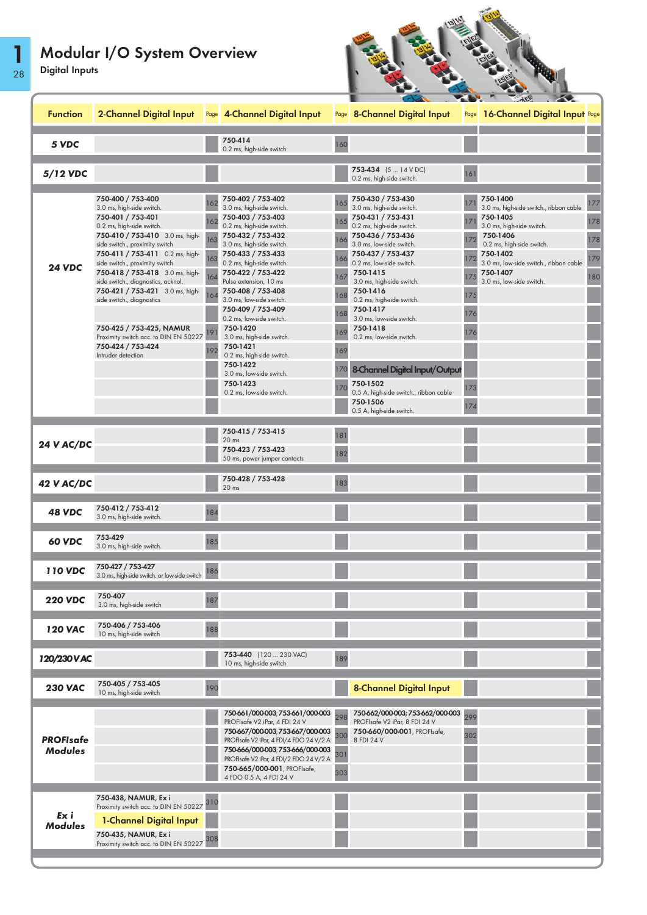28

1

| <b>Digital Inputs</b>              |                                                                                                                                                                                                                                                                                                                                                                                                                                                                                                     |                                        |                                                                                                                                                                                                                                                                                                                                                                                                                                                                                                                         |                                                      |                                                                                                                                                                                                                                                                                                                                                                                                                                                                          |                                                                |                                                                                                                                                                                                                                     |                                 |
|------------------------------------|-----------------------------------------------------------------------------------------------------------------------------------------------------------------------------------------------------------------------------------------------------------------------------------------------------------------------------------------------------------------------------------------------------------------------------------------------------------------------------------------------------|----------------------------------------|-------------------------------------------------------------------------------------------------------------------------------------------------------------------------------------------------------------------------------------------------------------------------------------------------------------------------------------------------------------------------------------------------------------------------------------------------------------------------------------------------------------------------|------------------------------------------------------|--------------------------------------------------------------------------------------------------------------------------------------------------------------------------------------------------------------------------------------------------------------------------------------------------------------------------------------------------------------------------------------------------------------------------------------------------------------------------|----------------------------------------------------------------|-------------------------------------------------------------------------------------------------------------------------------------------------------------------------------------------------------------------------------------|---------------------------------|
| <b>Function</b>                    | 2-Channel Digital Input Rage 4-Channel Digital Input                                                                                                                                                                                                                                                                                                                                                                                                                                                |                                        |                                                                                                                                                                                                                                                                                                                                                                                                                                                                                                                         |                                                      | Page 8-Channel Digital Input                                                                                                                                                                                                                                                                                                                                                                                                                                             | Page                                                           | 16-Channel Digital Input Page                                                                                                                                                                                                       |                                 |
| 5 VDC                              |                                                                                                                                                                                                                                                                                                                                                                                                                                                                                                     |                                        | 750-414<br>0.2 ms, high-side switch.                                                                                                                                                                                                                                                                                                                                                                                                                                                                                    | 160                                                  |                                                                                                                                                                                                                                                                                                                                                                                                                                                                          |                                                                |                                                                                                                                                                                                                                     |                                 |
| 5/12 VDC                           |                                                                                                                                                                                                                                                                                                                                                                                                                                                                                                     |                                        |                                                                                                                                                                                                                                                                                                                                                                                                                                                                                                                         |                                                      | 753-434 (5  14 V DC)<br>0.2 ms, high-side switch.                                                                                                                                                                                                                                                                                                                                                                                                                        | 161                                                            |                                                                                                                                                                                                                                     |                                 |
| <b>24 VDC</b>                      | 750-400 / 753-400<br>3.0 ms, high-side switch.<br>750-401 / 753-401<br>0.2 ms, high-side switch.<br>750-410 / 753-410 3.0 ms, high-<br>side switch., proximity switch<br>750-411 / 753-411 0.2 ms, high-<br>side switch., proximity switch<br>750-418 / 753-418 3.0 ms, high-<br>side switch., diagnostics, acknol.<br>750-421 / 753-421 3.0 ms, high-<br>side switch., diagnostics<br>750-425 / 753-425, NAMUR<br>Proximity switch acc. to DIN EN 50227<br>750-424 / 753-424<br>Intruder detection | 162<br>162<br>163<br>164<br>191<br>192 | 750-402 / 753-402<br>3.0 ms, high-side switch.<br>750-403 / 753-403<br>0.2 ms, high-side switch.<br>750-432 / 753-432<br>3.0 ms, high-side switch.<br>750-433 / 753-433<br>0.2 ms, high-side switch.<br>750-422 / 753-422<br>Pulse extension, 10 ms<br>750-408 / 753-408<br>3.0 ms, low-side switch.<br>750-409 / 753-409<br>0.2 ms, low-side switch.<br>750-1420<br>3.0 ms, high-side switch.<br>750-1421<br>0.2 ms, high-side switch.<br>750-1422<br>3.0 ms, low-side switch.<br>750-1423<br>0.2 ms, low-side switch. | 165<br>165<br>166<br>167<br>168<br>168<br>169<br>170 | 750-430 / 753-430<br>3.0 ms, high-side switch.<br>750-431 / 753-431<br>0.2 ms, high-side switch.<br>750-436 / 753-436<br>3.0 ms, low-side switch.<br>750-437 / 753-437<br>0.2 ms, low-side switch.<br>750-1415<br>3.0 ms, high-side switch.<br>750-1416<br>0.2 ms, high-side switch.<br>750-1417<br>3.0 ms, low-side switch.<br>750-1418<br>0.2 ms, low-side switch.<br>8-Channel Digital Input/Output<br>750-1502<br>0.5 A, high-side switch., ribbon cable<br>750-1506 | 17<br>17<br>17 <sup>1</sup><br>175<br>176<br>176<br>173<br>174 | 750-1400<br>3.0 ms, high-side switch., ribbon cable<br>750-1405<br>3.0 ms, high-side switch.<br>750-1406<br>0.2 ms, high-side switch.<br>750-1402<br>3.0 ms, low-side switch., ribbon cable<br>750-1407<br>3.0 ms, low-side switch. | 177<br>178<br>178<br>179<br>180 |
| <b>24 V AC/DC</b><br>42 V AC/DC    |                                                                                                                                                                                                                                                                                                                                                                                                                                                                                                     |                                        | 750-415 / 753-415<br>20 <sub>ms</sub><br>750-423 / 753-423<br>50 ms, power jumper contacts<br>750-428 / 753-428<br>$20$ ms                                                                                                                                                                                                                                                                                                                                                                                              | 181<br>182<br>183                                    | 0.5 A, high-side switch.                                                                                                                                                                                                                                                                                                                                                                                                                                                 |                                                                |                                                                                                                                                                                                                                     |                                 |
| <b>48 VDC</b>                      | 750-412 / 753-412<br>3.0 ms, high-side switch.                                                                                                                                                                                                                                                                                                                                                                                                                                                      | 184                                    |                                                                                                                                                                                                                                                                                                                                                                                                                                                                                                                         |                                                      |                                                                                                                                                                                                                                                                                                                                                                                                                                                                          |                                                                |                                                                                                                                                                                                                                     |                                 |
| 60 VDC                             | 753-429<br>3.0 ms, high-side switch.                                                                                                                                                                                                                                                                                                                                                                                                                                                                | 185                                    |                                                                                                                                                                                                                                                                                                                                                                                                                                                                                                                         |                                                      |                                                                                                                                                                                                                                                                                                                                                                                                                                                                          |                                                                |                                                                                                                                                                                                                                     |                                 |
| <b>110 VDC</b>                     | 750-427 / 753-427<br>3.0 ms, high-side switch. or low-side switch                                                                                                                                                                                                                                                                                                                                                                                                                                   | 186                                    |                                                                                                                                                                                                                                                                                                                                                                                                                                                                                                                         |                                                      |                                                                                                                                                                                                                                                                                                                                                                                                                                                                          |                                                                |                                                                                                                                                                                                                                     |                                 |
| <b>220 VDC</b>                     | 750-407<br>3.0 ms, high-side switch                                                                                                                                                                                                                                                                                                                                                                                                                                                                 | 187                                    |                                                                                                                                                                                                                                                                                                                                                                                                                                                                                                                         |                                                      |                                                                                                                                                                                                                                                                                                                                                                                                                                                                          |                                                                |                                                                                                                                                                                                                                     |                                 |
| <b>120 VAC</b>                     | 750-406 / 753-406<br>10 ms, high-side switch                                                                                                                                                                                                                                                                                                                                                                                                                                                        | 188                                    |                                                                                                                                                                                                                                                                                                                                                                                                                                                                                                                         |                                                      |                                                                                                                                                                                                                                                                                                                                                                                                                                                                          |                                                                |                                                                                                                                                                                                                                     |                                 |
| 120/230 V AC                       |                                                                                                                                                                                                                                                                                                                                                                                                                                                                                                     |                                        | 753-440 (120  230 VAC)<br>10 ms, high-side switch                                                                                                                                                                                                                                                                                                                                                                                                                                                                       | 189                                                  |                                                                                                                                                                                                                                                                                                                                                                                                                                                                          |                                                                |                                                                                                                                                                                                                                     |                                 |
| <b>230 VAC</b>                     | 750-405 / 753-405<br>10 ms, high-side switch                                                                                                                                                                                                                                                                                                                                                                                                                                                        | 190                                    |                                                                                                                                                                                                                                                                                                                                                                                                                                                                                                                         |                                                      | <b>8-Channel Digital Input</b>                                                                                                                                                                                                                                                                                                                                                                                                                                           |                                                                |                                                                                                                                                                                                                                     |                                 |
| <b>PROFIsafe</b><br><b>Modules</b> |                                                                                                                                                                                                                                                                                                                                                                                                                                                                                                     |                                        | 750-661/000-003; 753-661/000-003<br>PROFIsafe V2 iPar, 4 FDI 24 V<br>750-667/000-003; 753-667/000-003<br>PROFIsafe V2 iPar, 4 FDI/4 FDO 24 V/2 A<br>750-666/000-003; 753-666/000-003<br>PROFIsafe V2 iPar, 4 FDI/2 FDO 24 V/2 A<br>750-665/000-001, PROFIsafe,<br>4 FDO 0.5 A, 4 FDI 24 V                                                                                                                                                                                                                               | 298<br>300<br>301<br>303                             | 750-662/000-003; 753-662/000-003<br>PROFIsafe V2 iPar, 8 FDI 24 V<br>750-660/000-001, PROFIsafe,<br>8 FDI 24 V                                                                                                                                                                                                                                                                                                                                                           | 299<br>302                                                     |                                                                                                                                                                                                                                     |                                 |
| Ex i<br><b>Modules</b>             | 750-438, NAMUR, Ex i<br>Proximity switch acc. to DIN EN 50227 310<br>1-Channel Digital Input<br>750-435, NAMUR, Ex i<br>Proximity switch acc. to DIN EN 50227                                                                                                                                                                                                                                                                                                                                       | 308                                    |                                                                                                                                                                                                                                                                                                                                                                                                                                                                                                                         |                                                      |                                                                                                                                                                                                                                                                                                                                                                                                                                                                          |                                                                |                                                                                                                                                                                                                                     |                                 |

**BRATH** 

**PARTIES**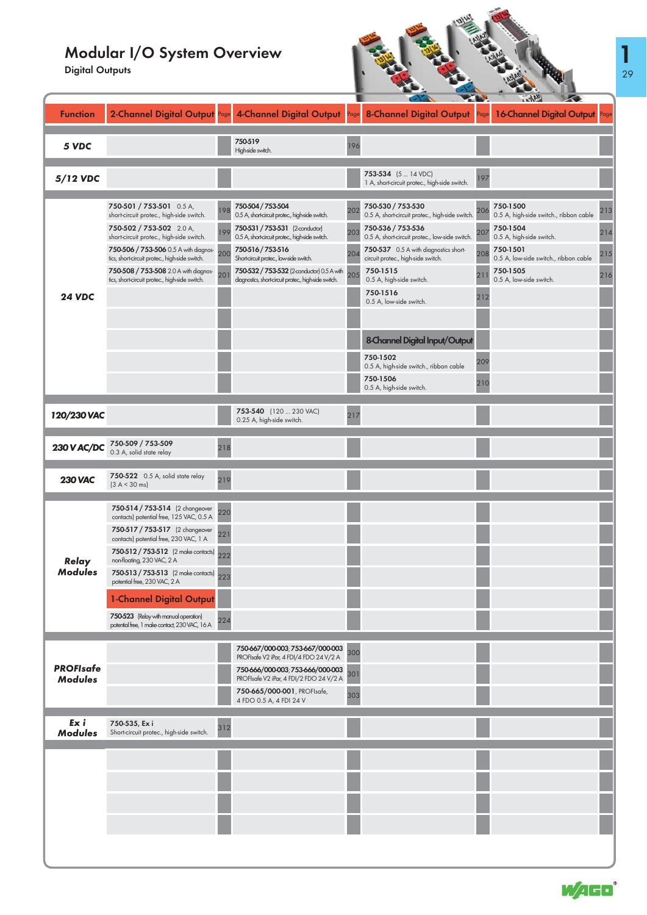Digital Outputs

| <b>Digital Outputs</b>             |                                                                                                                                                                                                                                                                                                                                                                                                                                   |                                 |                                                                                                                                                                                                                                                                                                                                |                          |                                                                                                                                                                                                                                                                                                                                                                                                                                           |                                 |                                                                                                                                                                                        |                          |
|------------------------------------|-----------------------------------------------------------------------------------------------------------------------------------------------------------------------------------------------------------------------------------------------------------------------------------------------------------------------------------------------------------------------------------------------------------------------------------|---------------------------------|--------------------------------------------------------------------------------------------------------------------------------------------------------------------------------------------------------------------------------------------------------------------------------------------------------------------------------|--------------------------|-------------------------------------------------------------------------------------------------------------------------------------------------------------------------------------------------------------------------------------------------------------------------------------------------------------------------------------------------------------------------------------------------------------------------------------------|---------------------------------|----------------------------------------------------------------------------------------------------------------------------------------------------------------------------------------|--------------------------|
| <b>Function</b>                    |                                                                                                                                                                                                                                                                                                                                                                                                                                   |                                 | 2-Channel Digital Output Page 4-Channel Digital Output Page                                                                                                                                                                                                                                                                    |                          | 8-Channel Digital Output                                                                                                                                                                                                                                                                                                                                                                                                                  |                                 | 16-Channel Digital Output                                                                                                                                                              |                          |
| 5 VDC                              |                                                                                                                                                                                                                                                                                                                                                                                                                                   |                                 | 750-519<br>High-side switch.                                                                                                                                                                                                                                                                                                   | 196                      |                                                                                                                                                                                                                                                                                                                                                                                                                                           |                                 |                                                                                                                                                                                        |                          |
| 5/12 VDC                           |                                                                                                                                                                                                                                                                                                                                                                                                                                   |                                 |                                                                                                                                                                                                                                                                                                                                |                          | 753-534 (5  14 VDC)<br>1 A, short-circuit protec., high-side switch.                                                                                                                                                                                                                                                                                                                                                                      | 197                             |                                                                                                                                                                                        |                          |
| <b>24 VDC</b>                      | 750-501 / 753-501 0.5 A,<br>short-circuit protec., high-side switch.<br>750-502 / 753-502 2.0 A,<br>short-circuit protec., high-side switch.<br>750-506 / 753-506 0.5 A with diagnos-<br>tics, short-circuit protec., high-side switch.<br>750-508 / 753-508 2.0 A with diagnos-<br>tics, short-circuit protec., high-side switch.                                                                                                | 198<br>1Q <sub>C</sub><br>200   | 750-504 / 753-504<br>0.5 A, short-circuit protec., high-side switch.<br>750-531 / 753-531 (2-conductor)<br>0.5 A, short-circuit protec., high-side switch.<br>750-516/753-516<br>Shortcircuit protec., low-side switch.<br>750-532 / 753-532 (2-conductor) 0.5 A with<br>diagnostics, short-circuit protec., high-side switch. | 202<br>203<br>204<br>205 | 750-530 / 753-530<br>0.5 A, short-circuit protec., high-side switch.<br>750-536 / 753-536<br>0.5 A, short-circuit protec., low-side switch.<br>750-537 0.5 A with diagnostics short-<br>circuit protec., high-side switch.<br>750-1515<br>0.5 A, high-side switch.<br>750-1516<br>0.5 A, low-side switch.<br>8-Channel Digital Input/Output<br>750-1502<br>0.5 A, high-side switch., ribbon cable<br>750-1506<br>0.5 A, high-side switch. | 206<br>207<br>208<br>209<br>210 | 750-1500<br>0.5 A, high-side switch., ribbon cable<br>750-1504<br>0.5 A, high-side switch.<br>750-1501<br>0.5 A, low-side switch., ribbon cable<br>750-1505<br>0.5 A, low-side switch. | 213<br>214<br>215<br>216 |
| 120/230 VAC                        |                                                                                                                                                                                                                                                                                                                                                                                                                                   |                                 | 753-540 (120  230 VAC)<br>0.25 A, high-side switch.                                                                                                                                                                                                                                                                            | 217                      |                                                                                                                                                                                                                                                                                                                                                                                                                                           |                                 |                                                                                                                                                                                        |                          |
| <b>230 V AC/DC</b>                 | 750-509 / 753-509<br>0.3 A, solid state relay                                                                                                                                                                                                                                                                                                                                                                                     | 218                             |                                                                                                                                                                                                                                                                                                                                |                          |                                                                                                                                                                                                                                                                                                                                                                                                                                           |                                 |                                                                                                                                                                                        |                          |
| <b>230 VAC</b>                     | 750-522 0.5 A, solid state relay<br>(3 A < 30 ms)                                                                                                                                                                                                                                                                                                                                                                                 | 219                             |                                                                                                                                                                                                                                                                                                                                |                          |                                                                                                                                                                                                                                                                                                                                                                                                                                           |                                 |                                                                                                                                                                                        |                          |
| Relay<br><b>Modules</b>            | 750-514 / 753-514 (2 changeover<br>contacts) potential free, 125 VAC, 0.5 A<br>750-517 / 753-517 (2 changeover<br>contacts) potential free, 230 VAC, 1 A<br>750-512 / 753-512 (2 make contacts)<br>non-floating, 230 VAC, 2 A<br>750-513 / 753-513 (2 make contacts)<br>potential free, 230 VAC, 2 A<br><b>1-Channel Digital Output</b><br>750-523 (Relay with manual operation)<br>potential free, 1 make contact, 230 VAC, 16 A | 220<br>221<br>222<br>223<br>224 |                                                                                                                                                                                                                                                                                                                                |                          |                                                                                                                                                                                                                                                                                                                                                                                                                                           |                                 |                                                                                                                                                                                        |                          |
| <b>PROFIsafe</b><br><b>Modules</b> |                                                                                                                                                                                                                                                                                                                                                                                                                                   |                                 | 750-667/000-003; 753-667/000-003<br>PROFIsafe V2 iPar, 4 FDI/4 FDO 24 V/2 A<br>750-666/000-003; 753-666/000-003<br>PROFIsafe V2 iPar, 4 FDI/2 FDO 24 V/2 A<br>750-665/000-001, PROFIsafe,<br>4 FDO 0.5 A, 4 FDI 24 V                                                                                                           | 300<br>301<br>303        |                                                                                                                                                                                                                                                                                                                                                                                                                                           |                                 |                                                                                                                                                                                        |                          |
| Ex i<br><b>Modules</b>             | 750-535, Ex i<br>Short-circuit protec., high-side switch.                                                                                                                                                                                                                                                                                                                                                                         | 312                             |                                                                                                                                                                                                                                                                                                                                |                          |                                                                                                                                                                                                                                                                                                                                                                                                                                           |                                 |                                                                                                                                                                                        |                          |
|                                    |                                                                                                                                                                                                                                                                                                                                                                                                                                   |                                 |                                                                                                                                                                                                                                                                                                                                |                          |                                                                                                                                                                                                                                                                                                                                                                                                                                           |                                 |                                                                                                                                                                                        |                          |

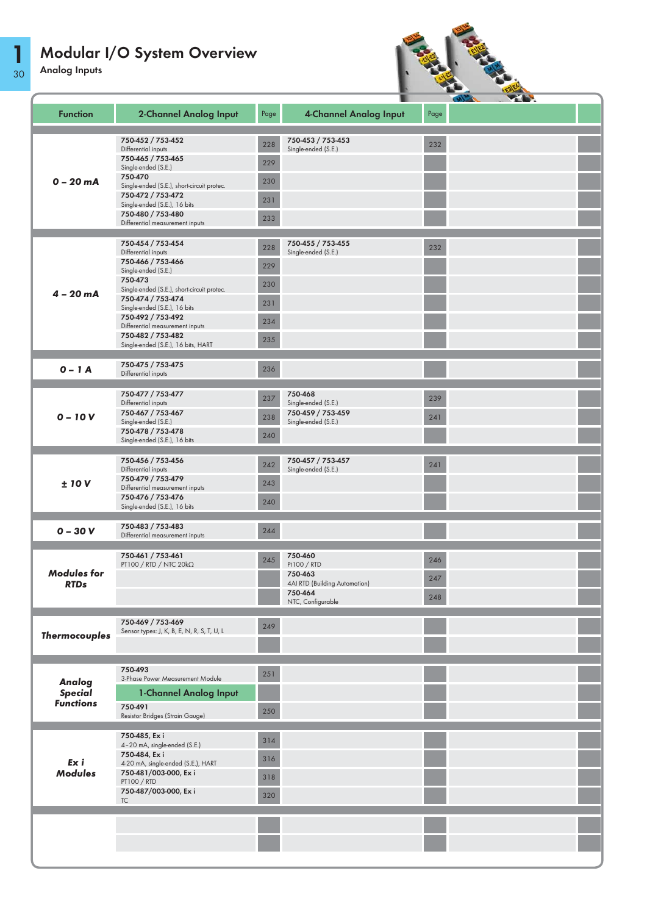30 Analog Inputs

1



|                      |                                                                 |      |                                          |      | D. |  |
|----------------------|-----------------------------------------------------------------|------|------------------------------------------|------|----|--|
| <b>Function</b>      | <b>2-Channel Analog Input</b>                                   | Page | <b>4-Channel Analog Input</b>            | Page |    |  |
|                      | 750-452 / 753-452                                               |      | 750-453 / 753-453                        |      |    |  |
|                      | Differential inputs                                             | 228  | Single-ended (S.E.)                      | 232  |    |  |
|                      | 750-465 / 753-465<br>Single-ended (S.E.)                        | 229  |                                          |      |    |  |
| $0 - 20$ mA          | 750-470                                                         | 230  |                                          |      |    |  |
|                      | Single-ended (S.E.), short-circuit protec.                      |      |                                          |      |    |  |
|                      | 750-472 / 753-472<br>Single-ended (S.E.), 16 bits               | 231  |                                          |      |    |  |
|                      | 750-480 / 753-480                                               | 233  |                                          |      |    |  |
|                      | Differential measurement inputs                                 |      |                                          |      |    |  |
|                      | 750-454 / 753-454                                               | 228  | 750-455 / 753-455                        | 232  |    |  |
|                      | Differential inputs                                             |      | Single-ended (S.E.)                      |      |    |  |
|                      | 750-466 / 753-466<br>Single-ended (S.E.)                        | 229  |                                          |      |    |  |
|                      | 750-473                                                         | 230  |                                          |      |    |  |
| $4 - 20 mA$          | Single-ended (S.E.), short-circuit protec.<br>750-474 / 753-474 |      |                                          |      |    |  |
|                      | Single-ended (S.E.), 16 bits                                    | 231  |                                          |      |    |  |
|                      | 750-492 / 753-492                                               | 234  |                                          |      |    |  |
|                      | Differential measurement inputs<br>750-482 / 753-482            |      |                                          |      |    |  |
|                      | Single-ended (S.E.), 16 bits, HART                              | 235  |                                          |      |    |  |
|                      | 750-475 / 753-475                                               |      |                                          |      |    |  |
| $0 - 1A$             | Differential inputs                                             | 236  |                                          |      |    |  |
|                      | 750-477 / 753-477                                               | 237  | 750-468                                  | 239  |    |  |
|                      | Differential inputs<br>750-467 / 753-467                        |      | Single-ended (S.E.)<br>750-459 / 753-459 |      |    |  |
| $0 - 10V$            | Single-ended (S.E.)                                             | 238  | Single-ended (S.E.)                      | 241  |    |  |
|                      | 750-478 / 753-478                                               | 240  |                                          |      |    |  |
|                      | Single-ended (S.E.), 16 bits                                    |      |                                          |      |    |  |
|                      | 750-456 / 753-456                                               | 242  | 750-457 / 753-457                        | 241  |    |  |
|                      | Differential inputs                                             |      | Single-ended (S.E.)                      |      |    |  |
| ±10V                 | 750-479 / 753-479<br>Differential measurement inputs            | 243  |                                          |      |    |  |
|                      | 750-476 / 753-476                                               | 240  |                                          |      |    |  |
|                      | Single-ended (S.E.), 16 bits                                    |      |                                          |      |    |  |
| $0 - 30V$            | 750-483 / 753-483<br>Differential measurement inputs            | 244  |                                          |      |    |  |
|                      |                                                                 |      |                                          |      |    |  |
|                      | 750-461 / 753-461                                               | 245  | 750-460                                  | 246  |    |  |
| <b>Modules for</b>   | PT100 / RTD / NTC 20kΩ                                          |      | Pt100 / RTD<br>750-463                   |      |    |  |
| <b>RTDs</b>          |                                                                 |      | 4AI RTD (Building Automation)            | 247  |    |  |
|                      |                                                                 |      | 750-464<br>NTC, Configurable             | 248  |    |  |
|                      |                                                                 |      |                                          |      |    |  |
|                      | 750-469 / 753-469                                               | 249  |                                          |      |    |  |
| <b>Thermocouples</b> | Sensor types: J, K, B, E, N, R, S, T, U, L                      |      |                                          |      |    |  |
|                      |                                                                 |      |                                          |      |    |  |
|                      | 750-493                                                         |      |                                          |      |    |  |
| Analog               | 3-Phase Power Measurement Module                                | 251  |                                          |      |    |  |
| <b>Special</b>       | 1-Channel Analog Input                                          |      |                                          |      |    |  |
| <b>Functions</b>     | 750-491                                                         |      |                                          |      |    |  |
|                      | Resistor Bridges (Strain Gauge)                                 | 250  |                                          |      |    |  |
|                      | 750-485, Ex i                                                   |      |                                          |      |    |  |
|                      | 4-20 mA, single-ended (S.E.)                                    | 314  |                                          |      |    |  |
| Ex i                 | 750-484, Ex i                                                   | 316  |                                          |      |    |  |
| <b>Modules</b>       | 4-20 mA, single-ended (S.E.), HART<br>750-481/003-000, Exi      |      |                                          |      |    |  |
|                      | <b>PT100 / RTD</b>                                              | 318  |                                          |      |    |  |
|                      | 750-487/003-000, Exi<br><b>TC</b>                               | 320  |                                          |      |    |  |
|                      |                                                                 |      |                                          |      |    |  |
|                      |                                                                 |      |                                          |      |    |  |
|                      |                                                                 |      |                                          |      |    |  |
|                      |                                                                 |      |                                          |      |    |  |
|                      |                                                                 |      |                                          |      |    |  |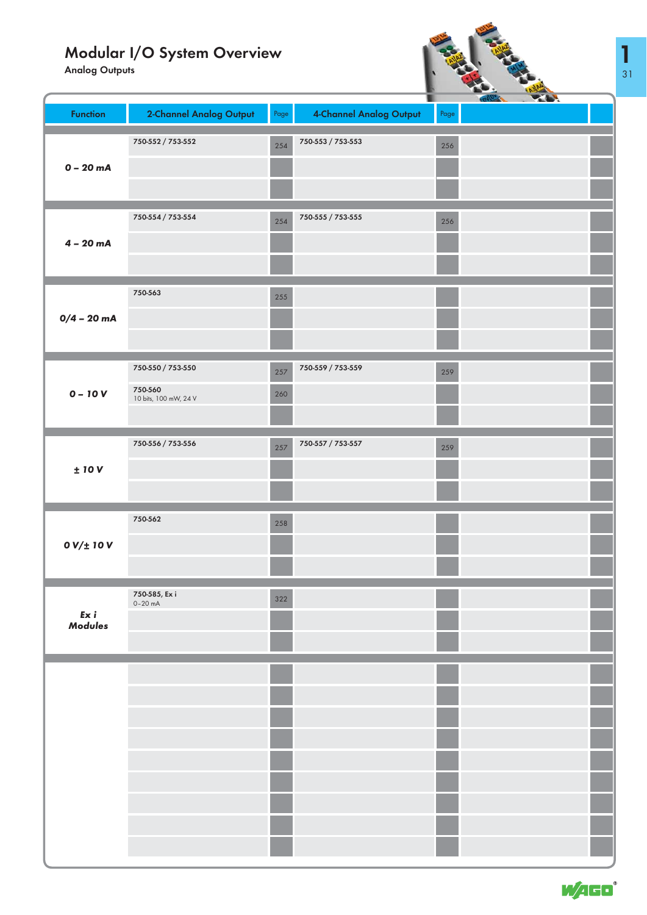Analog Outputs



|                 |                            |      | T                       |      | <b>YOU</b><br><b>Cover</b> |  |
|-----------------|----------------------------|------|-------------------------|------|----------------------------|--|
| <b>Function</b> | 2-Channel Analog Output    | Page | 4-Channel Analog Output | Page |                            |  |
|                 |                            |      |                         |      |                            |  |
|                 |                            |      |                         |      |                            |  |
|                 | 750-552 / 753-552          | 254  | 750-553 / 753-553       | 256  |                            |  |
|                 |                            |      |                         |      |                            |  |
| $0 - 20$ mA     |                            |      |                         |      |                            |  |
|                 |                            |      |                         |      |                            |  |
|                 |                            |      |                         |      |                            |  |
|                 |                            |      |                         |      |                            |  |
|                 |                            |      |                         |      |                            |  |
|                 | 750-554 / 753-554          | 254  | 750-555 / 753-555       | 256  |                            |  |
|                 |                            |      |                         |      |                            |  |
| $4 - 20$ mA     |                            |      |                         |      |                            |  |
|                 |                            |      |                         |      |                            |  |
|                 |                            |      |                         |      |                            |  |
|                 |                            |      |                         |      |                            |  |
|                 | 750-563                    |      |                         |      |                            |  |
|                 |                            | 255  |                         |      |                            |  |
|                 |                            |      |                         |      |                            |  |
| $0/4 - 20$ mA   |                            |      |                         |      |                            |  |
|                 |                            |      |                         |      |                            |  |
|                 |                            |      |                         |      |                            |  |
|                 |                            |      |                         |      |                            |  |
|                 | 750-550 / 753-550          | 257  | 750-559 / 753-559       | 259  |                            |  |
|                 |                            |      |                         |      |                            |  |
| $0 - 10V$       | 750-560                    | 260  |                         |      |                            |  |
|                 | 10 bits, 100 mW, 24 V      |      |                         |      |                            |  |
|                 |                            |      |                         |      |                            |  |
|                 |                            |      |                         |      |                            |  |
|                 |                            |      |                         |      |                            |  |
|                 | 750-556 / 753-556          | 257  | 750-557 / 753-557       | 259  |                            |  |
|                 |                            |      |                         |      |                            |  |
| $\pm$ 10 V      |                            |      |                         |      |                            |  |
|                 |                            |      |                         |      |                            |  |
|                 |                            |      |                         |      |                            |  |
|                 |                            |      |                         |      |                            |  |
|                 | 750-562                    | 258  |                         |      |                            |  |
|                 |                            |      |                         |      |                            |  |
| $0 V/t$ 10 $V$  |                            |      |                         |      |                            |  |
|                 |                            |      |                         |      |                            |  |
|                 |                            |      |                         |      |                            |  |
|                 |                            |      |                         |      |                            |  |
|                 |                            |      |                         |      |                            |  |
|                 | 750-585, Ex i<br>$0-20$ mA | 322  |                         |      |                            |  |
| Ex i            |                            |      |                         |      |                            |  |
| <b>Modules</b>  |                            |      |                         |      |                            |  |
|                 |                            |      |                         |      |                            |  |
|                 |                            |      |                         |      |                            |  |
|                 |                            |      |                         |      |                            |  |
|                 |                            |      |                         |      |                            |  |
|                 |                            |      |                         |      |                            |  |
|                 |                            |      |                         |      |                            |  |
|                 |                            |      |                         |      |                            |  |
|                 |                            |      |                         |      |                            |  |
|                 |                            |      |                         |      |                            |  |
|                 |                            |      |                         |      |                            |  |
|                 |                            |      |                         |      |                            |  |
|                 |                            |      |                         |      |                            |  |
|                 |                            |      |                         |      |                            |  |
|                 |                            |      |                         |      |                            |  |
|                 |                            |      |                         |      |                            |  |
|                 |                            |      |                         |      |                            |  |
|                 |                            |      |                         |      |                            |  |
|                 |                            |      |                         |      |                            |  |
|                 |                            |      |                         |      |                            |  |
|                 |                            |      |                         |      |                            |  |
|                 |                            |      |                         |      |                            |  |



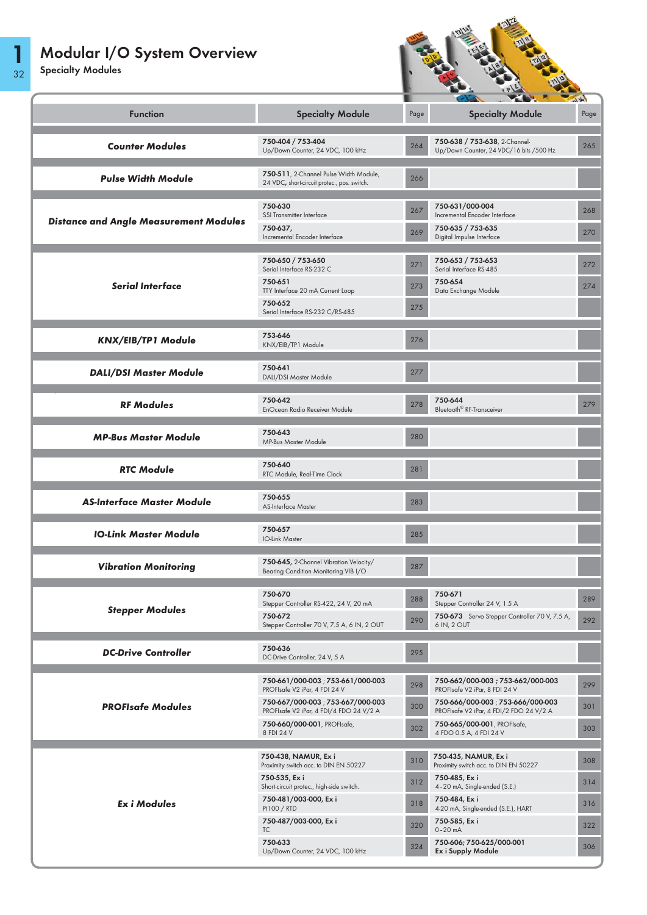$\mathcal{C}$ 

1



| <b>Function</b>                               | <b>Specialty Module</b>                                                                            | Page       | <b>Specialty Module</b>                                                                | Page       |
|-----------------------------------------------|----------------------------------------------------------------------------------------------------|------------|----------------------------------------------------------------------------------------|------------|
| <b>Counter Modules</b>                        | 750-404 / 753-404<br>Up/Down Counter, 24 VDC, 100 kHz                                              | 264        | 750-638 / 753-638, 2-Channel-<br>Up/Down Counter, 24 VDC/16 bits /500 Hz               | 265        |
| <b>Pulse Width Module</b>                     | 750-511, 2-Channel Pulse Width Module,<br>24 VDC, short-circuit protec., pos. switch.              | 266        |                                                                                        |            |
| <b>Distance and Angle Measurement Modules</b> | 750-630<br>SSI Transmitter Interface<br>750-637,                                                   | 267<br>269 | 750-631/000-004<br>Incremental Encoder Interface<br>750-635 / 753-635                  | 268<br>270 |
|                                               | Incremental Encoder Interface                                                                      |            | Digital Impulse Interface                                                              |            |
|                                               | 750-650 / 753-650<br>Serial Interface RS-232 C                                                     | 271        | 750-653 / 753-653<br>Serial Interface RS-485                                           | 272        |
| <b>Serial Interface</b>                       | 750-651<br>TTY Interface 20 mA Current Loop                                                        | 273        | 750-654<br>Data Exchange Module                                                        | 274        |
|                                               | 750-652<br>Serial Interface RS-232 C/RS-485                                                        | 275        |                                                                                        |            |
| <b>KNX/EIB/TP1 Module</b>                     | 753-646<br>KNX/EIB/TP1 Module                                                                      | 276        |                                                                                        |            |
| <b>DALI/DSI Master Module</b>                 | 750-641<br>DALI/DSI Master Module                                                                  | 277        |                                                                                        |            |
| <b>RF Modules</b>                             | 750-642<br>EnOcean Radio Receiver Module                                                           | 278        | 750-644<br>Bluetooth <sup>®</sup> RF-Transceiver                                       | 279        |
| <b>MP-Bus Master Module</b>                   | 750-643<br>MP-Bus Master Module                                                                    | 280        |                                                                                        |            |
| <b>RTC Module</b>                             | 750-640<br>RTC Module, Real-Time Clock                                                             | 281        |                                                                                        |            |
| <b>AS-Interface Master Module</b>             | 750-655<br>AS-Interface Master                                                                     | 283        |                                                                                        |            |
| <b>IO-Link Master Module</b>                  | 750-657<br><b>IO-Link Master</b>                                                                   | 285        |                                                                                        |            |
| <b>Vibration Monitoring</b>                   | 750-645, 2-Channel Vibration Velocity/<br>Bearing Condition Monitoring VIB I/O                     | 287        |                                                                                        |            |
|                                               | 750-670<br>Stepper Controller RS-422, 24 V, 20 mA                                                  | 288        | 750-671<br>Stepper Controller 24 V, 1.5 A                                              | 289        |
| <b>Stepper Modules</b>                        | 750-672<br>Stepper Controller 70 V, 7.5 A, 6 IN, 2 OUT                                             | 290        | 750-673 Servo Stepper Controller 70 V, 7.5 A,<br>6 IN, 2 OUT                           | 292        |
| <b>DC-Drive Controller</b>                    | 750-636<br>DC-Drive Controller, 24 V, 5 A                                                          | 295        |                                                                                        |            |
|                                               | 750-661/000-003 753-661/000-003<br>PROFIsafe V2 iPar, 4 FDI 24 V                                   | 298        | 750-662/000-003;753-662/000-003<br>PROFIsafe V2 iPar, 8 FDI 24 V                       | 299        |
| <b>PROFIsafe Modules</b>                      | 750-667/000-003 ; 753-667/000-003<br>PROFIsafe V2 iPar, 4 FDI/4 FDO 24 V/2 A                       | 300        | 750-666/000-003; 753-666/000-003<br>PROFIsafe V2 iPar, 4 FDI/2 FDO 24 V/2 A            | 301        |
|                                               | 750-660/000-001, PROFIsafe,<br>8 FDI 24 V                                                          | 302        | 750-665/000-001, PROFIsafe,<br>4 FDO 0.5 A, 4 FDI 24 V                                 | 303        |
|                                               | 750-438, NAMUR, Ex i                                                                               | 310        | 750-435, NAMUR, Ex i                                                                   | 308        |
|                                               | Proximity switch acc. to DIN EN 50227<br>750-535, Ex i<br>Short-circuit protec., high-side switch. | 312        | Proximity switch acc. to DIN EN 50227<br>750-485, Ex i<br>4-20 mA, Single-ended (S.E.) | 314        |
| <b>ExiModules</b>                             | 750-481/003-000, Ex i<br>Pt100 / RTD                                                               | 318        | 750-484, Ex i<br>4-20 mA, Single-ended (S.E.), HART                                    | 316        |
|                                               | 750-487/003-000, Exi<br>TC                                                                         | 320        | 750-585, Ex i<br>$0 - 20$ mA                                                           | 322        |
|                                               | 750-633<br>Up/Down Counter, 24 VDC, 100 kHz                                                        | 324        | 750-606; 750-625/000-001<br><b>Ex i Supply Module</b>                                  | 306        |